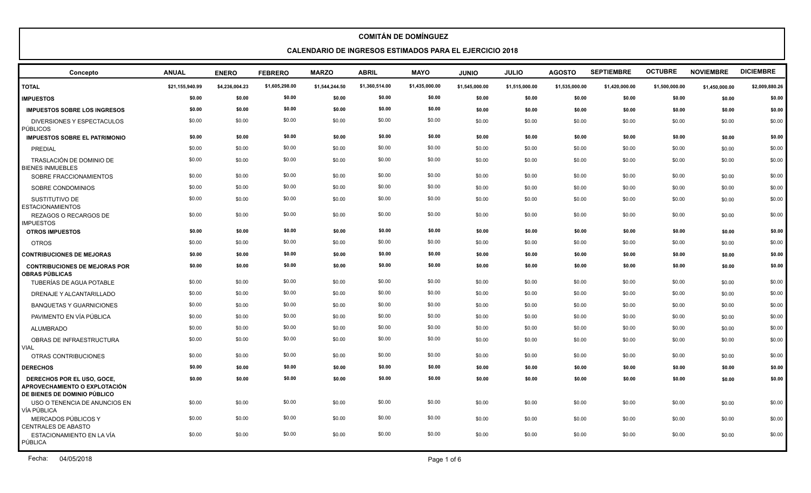#### **CALENDARIO DE INGRESOS ESTIMADOS PARA EL EJERCICIO 2018**

| Concepto                                                                                    | <b>ANUAL</b>    | <b>ENERO</b>   | <b>FEBRERO</b> | <b>MARZO</b>   | <b>ABRIL</b>   | <b>MAYO</b>    | <b>JUNIO</b>   | <b>JULIO</b>   | <b>AGOSTO</b>  | <b>SEPTIEMBRE</b> | <b>OCTUBRE</b> | <b>NOVIEMBRE</b> | <b>DICIEMBRE</b> |
|---------------------------------------------------------------------------------------------|-----------------|----------------|----------------|----------------|----------------|----------------|----------------|----------------|----------------|-------------------|----------------|------------------|------------------|
| <b>TOTAL</b>                                                                                | \$21,155,940.99 | \$4,236,004.23 | \$1,605,298.00 | \$1,544,244.50 | \$1,360,514.00 | \$1,435,000.00 | \$1,545,000.00 | \$1,515,000.00 | \$1,535,000.00 | \$1,420,000.00    | \$1,500,000.00 | \$1,450,000.00   | \$2,009,880.26   |
| <b>IMPUESTOS</b>                                                                            | \$0.00          | \$0.00         | \$0.00         | \$0.00         | \$0.00         | \$0.00         | \$0.00         | \$0.00         | \$0.00         | \$0.00            | \$0.00         | \$0.00           | \$0.00           |
| <b>IMPUESTOS SOBRE LOS INGRESOS</b>                                                         | \$0.00          | \$0.00         | \$0.00         | \$0.00         | \$0.00         | \$0.00         | \$0.00         | \$0.00         | \$0.00         | \$0.00            | \$0.00         | \$0.00           | \$0.00           |
| DIVERSIONES Y ESPECTACULOS<br>PÚBLICOS                                                      | \$0.00          | \$0.00         | \$0.00         | \$0.00         | \$0.00         | \$0.00         | \$0.00         | \$0.00         | \$0.00         | \$0.00            | \$0.00         | \$0.00           | \$0.00           |
| <b>IMPUESTOS SOBRE EL PATRIMONIO</b>                                                        | \$0.00          | \$0.00         | \$0.00         | \$0.00         | \$0.00         | \$0.00         | \$0.00         | \$0.00         | \$0.00         | \$0.00            | \$0.00         | \$0.00           | \$0.00           |
| <b>PREDIAL</b>                                                                              | \$0.00          | \$0.00         | \$0.00         | \$0.00         | \$0.00         | \$0.00         | \$0.00         | \$0.00         | \$0.00         | \$0.00            | \$0.00         | \$0.00           | \$0.00           |
| TRASLACIÓN DE DOMINIO DE<br><b>BIENES INMUEBLES</b>                                         | \$0.00          | \$0.00         | \$0.00         | \$0.00         | \$0.00         | \$0.00         | \$0.00         | \$0.00         | \$0.00         | \$0.00            | \$0.00         | \$0.00           | \$0.00           |
| SOBRE FRACCIONAMIENTOS                                                                      | \$0.00          | \$0.00         | \$0.00         | \$0.00         | \$0.00         | \$0.00         | \$0.00         | \$0.00         | \$0.00         | \$0.00            | \$0.00         | \$0.00           | \$0.00           |
| SOBRE CONDOMINIOS                                                                           | \$0.00          | \$0.00         | \$0.00         | \$0.00         | \$0.00         | \$0.00         | \$0.00         | \$0.00         | \$0.00         | \$0.00            | \$0.00         | \$0.00           | \$0.00           |
| SUSTITUTIVO DE<br><b>ESTACIONAMIENTOS</b>                                                   | \$0.00          | \$0.00         | \$0.00         | \$0.00         | \$0.00         | \$0.00         | \$0.00         | \$0.00         | \$0.00         | \$0.00            | \$0.00         | \$0.00           | \$0.00           |
| <b>REZAGOS O RECARGOS DE</b><br><b>IMPUESTOS</b>                                            | \$0.00          | \$0.00         | \$0.00         | \$0.00         | \$0.00         | \$0.00         | \$0.00         | \$0.00         | \$0.00         | \$0.00            | \$0.00         | \$0.00           | \$0.00           |
| <b>OTROS IMPUESTOS</b>                                                                      | \$0.00          | \$0.00         | \$0.00         | \$0.00         | \$0.00         | \$0.00         | \$0.00         | \$0.00         | \$0.00         | \$0.00            | \$0.00         | \$0.00           | \$0.00           |
| <b>OTROS</b>                                                                                | \$0.00          | \$0.00         | \$0.00         | \$0.00         | \$0.00         | \$0.00         | \$0.00         | \$0.00         | \$0.00         | \$0.00            | \$0.00         | \$0.00           | \$0.00           |
| <b>CONTRIBUCIONES DE MEJORAS</b>                                                            | \$0.00          | \$0.00         | \$0.00         | \$0.00         | \$0.00         | \$0.00         | \$0.00         | \$0.00         | \$0.00         | \$0.00            | \$0.00         | \$0.00           | \$0.00           |
| <b>CONTRIBUCIONES DE MEJORAS POR</b><br><b>OBRAS PÚBLICAS</b>                               | \$0.00          | \$0.00         | \$0.00         | \$0.00         | \$0.00         | \$0.00         | \$0.00         | \$0.00         | \$0.00         | \$0.00            | \$0.00         | \$0.00           | \$0.00           |
| <b>TUBERÍAS DE AGUA POTABLE</b>                                                             | \$0.00          | \$0.00         | \$0.00         | \$0.00         | \$0.00         | \$0.00         | \$0.00         | \$0.00         | \$0.00         | \$0.00            | \$0.00         | \$0.00           | \$0.00           |
| DRENAJE Y ALCANTARILLADO                                                                    | \$0.00          | \$0.00         | \$0.00         | \$0.00         | \$0.00         | \$0.00         | \$0.00         | \$0.00         | \$0.00         | \$0.00            | \$0.00         | \$0.00           | \$0.00           |
| <b>BANQUETAS Y GUARNICIONES</b>                                                             | \$0.00          | \$0.00         | \$0.00         | \$0.00         | \$0.00         | \$0.00         | \$0.00         | \$0.00         | \$0.00         | \$0.00            | \$0.00         | \$0.00           | \$0.00           |
| PAVIMENTO EN VÍA PÚBLICA                                                                    | \$0.00          | \$0.00         | \$0.00         | \$0.00         | \$0.00         | \$0.00         | \$0.00         | \$0.00         | \$0.00         | \$0.00            | \$0.00         | \$0.00           | \$0.00           |
| <b>ALUMBRADO</b>                                                                            | \$0.00          | \$0.00         | \$0.00         | \$0.00         | \$0.00         | \$0.00         | \$0.00         | \$0.00         | \$0.00         | \$0.00            | \$0.00         | \$0.00           | \$0.00           |
| OBRAS DE INFRAESTRUCTURA<br><b>VIAL</b>                                                     | \$0.00          | \$0.00         | \$0.00         | \$0.00         | \$0.00         | \$0.00         | \$0.00         | \$0.00         | \$0.00         | \$0.00            | \$0.00         | \$0.00           | \$0.00           |
| OTRAS CONTRIBUCIONES                                                                        | \$0.00          | \$0.00         | \$0.00         | \$0.00         | \$0.00         | \$0.00         | \$0.00         | \$0.00         | \$0.00         | \$0.00            | \$0.00         | \$0.00           | \$0.00           |
| <b>DERECHOS</b>                                                                             | \$0.00          | \$0.00         | \$0.00         | \$0.00         | \$0.00         | \$0.00         | \$0.00         | \$0.00         | \$0.00         | \$0.00            | \$0.00         | \$0.00           | \$0.00           |
| DERECHOS POR EL USO, GOCE,<br>APROVECHAMIENTO O EXPLOTACIÓN<br>DE BIENES DE DOMINIO PÚBLICO | \$0.00          | \$0.00         | \$0.00         | \$0.00         | \$0.00         | \$0.00         | \$0.00         | \$0.00         | \$0.00         | \$0.00            | \$0.00         | \$0.00           | \$0.00           |
| USO O TENENCIA DE ANUNCIOS EN<br>VÍA PÚBLICA                                                | \$0.00          | \$0.00         | \$0.00         | \$0.00         | \$0.00         | \$0.00         | \$0.00         | \$0.00         | \$0.00         | \$0.00            | \$0.00         | \$0.00           | \$0.00           |
| MERCADOS PÚBLICOS Y<br><b>CENTRALES DE ABASTO</b>                                           | \$0.00          | \$0.00         | \$0.00         | \$0.00         | \$0.00         | \$0.00         | \$0.00         | \$0.00         | \$0.00         | \$0.00            | \$0.00         | \$0.00           | \$0.00           |
| ESTACIONAMIENTO EN LA VÍA<br>PÚBLICA                                                        | \$0.00          | \$0.00         | \$0.00         | \$0.00         | \$0.00         | \$0.00         | \$0.00         | \$0.00         | \$0.00         | \$0.00            | \$0.00         | \$0.00           | \$0.00           |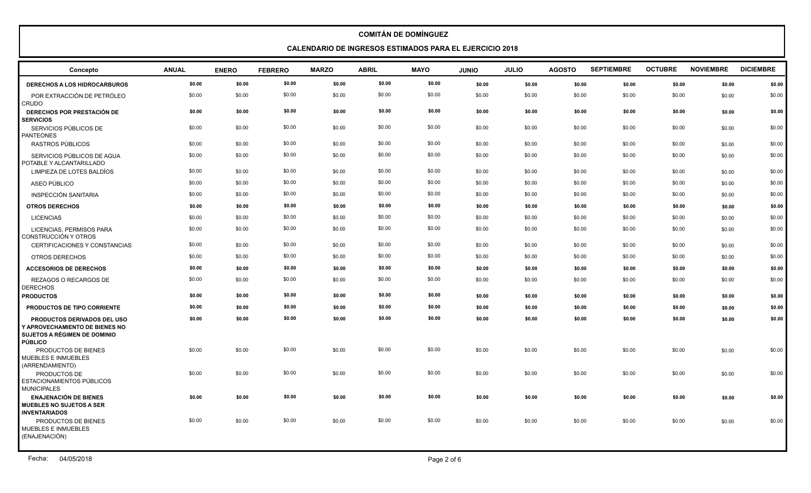**CALENDARIO DE INGRESOS ESTIMADOS PARA EL EJERCICIO 2018**

| <b>DERECHOS A LOS HIDROCARBUROS</b>                                                                                           |        |        |        |        |        |        |        |        |        |        |        |        |        |
|-------------------------------------------------------------------------------------------------------------------------------|--------|--------|--------|--------|--------|--------|--------|--------|--------|--------|--------|--------|--------|
|                                                                                                                               | \$0.00 | \$0.00 | \$0.00 | \$0.00 | \$0.00 | \$0.00 | \$0.00 | \$0.00 | \$0.00 | \$0.00 | \$0.00 | \$0.00 | \$0.00 |
| POR EXTRACCIÓN DE PETRÓLEO<br>CRUDO                                                                                           | \$0.00 | \$0.00 | \$0.00 | \$0.00 | \$0.00 | \$0.00 | \$0.00 | \$0.00 | \$0.00 | \$0.00 | \$0.00 | \$0.00 | \$0.00 |
| DERECHOS POR PRESTACIÓN DE<br><b>SERVICIOS</b>                                                                                | \$0.00 | \$0.00 | \$0.00 | \$0.00 | \$0.00 | \$0.00 | \$0.00 | \$0.00 | \$0.00 | \$0.00 | \$0.00 | \$0.00 | \$0.00 |
| SERVICIOS PÚBLICOS DE<br><b>PANTEONES</b>                                                                                     | \$0.00 | \$0.00 | \$0.00 | \$0.00 | \$0.00 | \$0.00 | \$0.00 | \$0.00 | \$0.00 | \$0.00 | \$0.00 | \$0.00 | \$0.00 |
| RASTROS PÚBLICOS                                                                                                              | \$0.00 | \$0.00 | \$0.00 | \$0.00 | \$0.00 | \$0.00 | \$0.00 | \$0.00 | \$0.00 | \$0.00 | \$0.00 | \$0.00 | \$0.00 |
| SERVICIOS PÚBLICOS DE AGUA<br>POTABLE Y ALCANTARILLADO                                                                        | \$0.00 | \$0.00 | \$0.00 | \$0.00 | \$0.00 | \$0.00 | \$0.00 | \$0.00 | \$0.00 | \$0.00 | \$0.00 | \$0.00 | \$0.00 |
| LIMPIEZA DE LOTES BALDÍOS                                                                                                     | \$0.00 | \$0.00 | \$0.00 | \$0.00 | \$0.00 | \$0.00 | \$0.00 | \$0.00 | \$0.00 | \$0.00 | \$0.00 | \$0.00 | \$0.00 |
| ASEO PÚBLICO                                                                                                                  | \$0.00 | \$0.00 | \$0.00 | \$0.00 | \$0.00 | \$0.00 | \$0.00 | \$0.00 | \$0.00 | \$0.00 | \$0.00 | \$0.00 | \$0.00 |
| <b>INSPECCIÓN SANITARIA</b>                                                                                                   | \$0.00 | \$0.00 | \$0.00 | \$0.00 | \$0.00 | \$0.00 | \$0.00 | \$0.00 | \$0.00 | \$0.00 | \$0.00 | \$0.00 | \$0.00 |
| <b>OTROS DERECHOS</b>                                                                                                         | \$0.00 | \$0.00 | \$0.00 | \$0.00 | \$0.00 | \$0.00 | \$0.00 | \$0.00 | \$0.00 | \$0.00 | \$0.00 | \$0.00 | \$0.00 |
| <b>LICENCIAS</b>                                                                                                              | \$0.00 | \$0.00 | \$0.00 | \$0.00 | \$0.00 | \$0.00 | \$0.00 | \$0.00 | \$0.00 | \$0.00 | \$0.00 | \$0.00 | \$0.00 |
| LICENCIAS. PERMISOS PARA<br>CONSTRUCCIÓN Y OTROS                                                                              | \$0.00 | \$0.00 | \$0.00 | \$0.00 | \$0.00 | \$0.00 | \$0.00 | \$0.00 | \$0.00 | \$0.00 | \$0.00 | \$0.00 | \$0.00 |
| CERTIFICACIONES Y CONSTANCIAS                                                                                                 | \$0.00 | \$0.00 | \$0.00 | \$0.00 | \$0.00 | \$0.00 | \$0.00 | \$0.00 | \$0.00 | \$0.00 | \$0.00 | \$0.00 | \$0.00 |
| OTROS DERECHOS                                                                                                                | \$0.00 | \$0.00 | \$0.00 | \$0.00 | \$0.00 | \$0.00 | \$0.00 | \$0.00 | \$0.00 | \$0.00 | \$0.00 | \$0.00 | \$0.00 |
| <b>ACCESORIOS DE DERECHOS</b>                                                                                                 | \$0.00 | \$0.00 | \$0.00 | \$0.00 | \$0.00 | \$0.00 | \$0.00 | \$0.00 | \$0.00 | \$0.00 | \$0.00 | \$0.00 | \$0.00 |
| REZAGOS O RECARGOS DE<br><b>DERECHOS</b>                                                                                      | \$0.00 | \$0.00 | \$0.00 | \$0.00 | \$0.00 | \$0.00 | \$0.00 | \$0.00 | \$0.00 | \$0.00 | \$0.00 | \$0.00 | \$0.00 |
| <b>PRODUCTOS</b>                                                                                                              | \$0.00 | \$0.00 | \$0.00 | \$0.00 | \$0.00 | \$0.00 | \$0.00 | \$0.00 | \$0.00 | \$0.00 | \$0.00 | \$0.00 | \$0.00 |
| PRODUCTOS DE TIPO CORRIENTE                                                                                                   | \$0.00 | \$0.00 | \$0.00 | \$0.00 | \$0.00 | \$0.00 | \$0.00 | \$0.00 | \$0.00 | \$0.00 | \$0.00 | \$0.00 | \$0.00 |
| <b>PRODUCTOS DERIVADOS DEL USO</b><br>Y APROVECHAMIENTO DE BIENES NO<br><b>SUJETOS A RÉGIMEN DE DOMINIO</b><br><b>PÚBLICO</b> | \$0.00 | \$0.00 | \$0.00 | \$0.00 | \$0.00 | \$0.00 | \$0.00 | \$0.00 | \$0.00 | \$0.00 | \$0.00 | \$0.00 | \$0.00 |
| PRODUCTOS DE BIENES<br><b>MUEBLES E INMUEBLES</b><br>(ARRENDAMIENTO)                                                          | \$0.00 | \$0.00 | \$0.00 | \$0.00 | \$0.00 | \$0.00 | \$0.00 | \$0.00 | \$0.00 | \$0.00 | \$0.00 | \$0.00 | \$0.00 |
| PRODUCTOS DE<br><b>ESTACIONAMIENTOS PÚBLICOS</b><br><b>MUNICIPALES</b>                                                        | \$0.00 | \$0.00 | \$0.00 | \$0.00 | \$0.00 | \$0.00 | \$0.00 | \$0.00 | \$0.00 | \$0.00 | \$0.00 | \$0.00 | \$0.00 |
| <b>ENAJENACIÓN DE BIENES</b><br><b>MUEBLES NO SUJETOS A SER</b><br><b>INVENTARIADOS</b>                                       | \$0.00 | \$0.00 | \$0.00 | \$0.00 | \$0.00 | \$0.00 | \$0.00 | \$0.00 | \$0.00 | \$0.00 | \$0.00 | \$0.00 | \$0.00 |
| PRODUCTOS DE BIENES<br>MUEBLES E INMUEBLES<br>(ENAJENACIÓN)                                                                   | \$0.00 | \$0.00 | \$0.00 | \$0.00 | \$0.00 | \$0.00 | \$0.00 | \$0.00 | \$0.00 | \$0.00 | \$0.00 | \$0.00 | \$0.00 |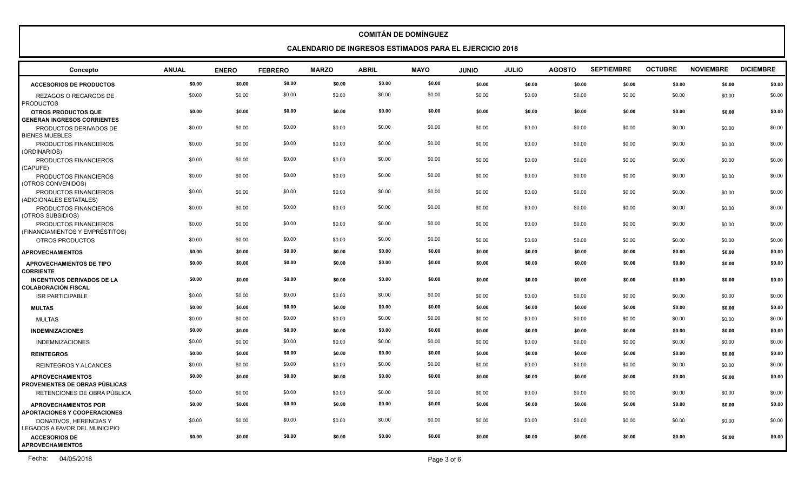**CALENDARIO DE INGRESOS ESTIMADOS PARA EL EJERCICIO 2018**

| Concepto                                                           | <b>ANUAL</b> | <b>ENERO</b> | <b>FEBRERO</b> | <b>MARZO</b> | <b>ABRIL</b> | <b>MAYO</b> | <b>JUNIO</b> | <b>JULIO</b> | <b>AGOSTO</b> | <b>SEPTIEMBRE</b> | <b>OCTUBRE</b> | <b>NOVIEMBRE</b> | <b>DICIEMBRE</b> |
|--------------------------------------------------------------------|--------------|--------------|----------------|--------------|--------------|-------------|--------------|--------------|---------------|-------------------|----------------|------------------|------------------|
| <b>ACCESORIOS DE PRODUCTOS</b>                                     | \$0.00       | \$0.00       | \$0.00         | \$0.00       | \$0.00       | \$0.00      | \$0.00       | \$0.00       | \$0.00        | \$0.00            | \$0.00         | \$0.00           | \$0.00           |
| REZAGOS O RECARGOS DE<br><b>PRODUCTOS</b>                          | \$0.00       | \$0.00       | \$0.00         | \$0.00       | \$0.00       | \$0.00      | \$0.00       | \$0.00       | \$0.00        | \$0.00            | \$0.00         | \$0.00           | \$0.00           |
| <b>OTROS PRODUCTOS QUE</b><br><b>GENERAN INGRESOS CORRIENTES</b>   | \$0.00       | \$0.00       | \$0.00         | \$0.00       | \$0.00       | \$0.00      | \$0.00       | \$0.00       | \$0.00        | \$0.00            | \$0.00         | \$0.00           | \$0.00           |
| PRODUCTOS DERIVADOS DE<br><b>BIENES MUEBLES</b>                    | \$0.00       | \$0.00       | \$0.00         | \$0.00       | \$0.00       | \$0.00      | \$0.00       | \$0.00       | \$0.00        | \$0.00            | \$0.00         | \$0.00           | \$0.00           |
| PRODUCTOS FINANCIEROS<br>(ORDINARIOS)                              | \$0.00       | \$0.00       | \$0.00         | \$0.00       | \$0.00       | \$0.00      | \$0.00       | \$0.00       | \$0.00        | \$0.00            | \$0.00         | \$0.00           | \$0.00           |
| PRODUCTOS FINANCIEROS<br>(CAPUFE)                                  | \$0.00       | \$0.00       | \$0.00         | \$0.00       | \$0.00       | \$0.00      | \$0.00       | \$0.00       | \$0.00        | \$0.00            | \$0.00         | \$0.00           | \$0.00           |
| PRODUCTOS FINANCIEROS<br>(OTROS CONVENIDOS)                        | \$0.00       | \$0.00       | \$0.00         | \$0.00       | \$0.00       | \$0.00      | \$0.00       | \$0.00       | \$0.00        | \$0.00            | \$0.00         | \$0.00           | \$0.00           |
| PRODUCTOS FINANCIEROS<br>(ADICIONALES ESTATALES)                   | \$0.00       | \$0.00       | \$0.00         | \$0.00       | \$0.00       | \$0.00      | \$0.00       | \$0.00       | \$0.00        | \$0.00            | \$0.00         | \$0.00           | \$0.00           |
| PRODUCTOS FINANCIEROS<br>(OTROS SUBSIDIOS)                         | \$0.00       | \$0.00       | \$0.00         | \$0.00       | \$0.00       | \$0.00      | \$0.00       | \$0.00       | \$0.00        | \$0.00            | \$0.00         | \$0.00           | \$0.00           |
| PRODUCTOS FINANCIEROS<br>(FINANCIAMIENTOS Y EMPRÉSTITOS)           | \$0.00       | \$0.00       | \$0.00         | \$0.00       | \$0.00       | \$0.00      | \$0.00       | \$0.00       | \$0.00        | \$0.00            | \$0.00         | \$0.00           | \$0.00           |
| OTROS PRODUCTOS                                                    | \$0.00       | \$0.00       | \$0.00         | \$0.00       | \$0.00       | \$0.00      | \$0.00       | \$0.00       | \$0.00        | \$0.00            | \$0.00         | \$0.00           | \$0.00           |
| <b>APROVECHAMIENTOS</b>                                            | \$0.00       | \$0.00       | \$0.00         | \$0.00       | \$0.00       | \$0.00      | \$0.00       | \$0.00       | \$0.00        | \$0.00            | \$0.00         | \$0.00           | \$0.00           |
| APROVECHAMIENTOS DE TIPO<br><b>CORRIENTE</b>                       | \$0.00       | \$0.00       | \$0.00         | \$0.00       | \$0.00       | \$0.00      | \$0.00       | \$0.00       | \$0.00        | \$0.00            | \$0.00         | \$0.00           | \$0.00           |
| <b>INCENTIVOS DERIVADOS DE LA</b><br>COLABORACIÓN FISCAL           | \$0.00       | \$0.00       | \$0.00         | \$0.00       | \$0.00       | \$0.00      | \$0.00       | \$0.00       | \$0.00        | \$0.00            | \$0.00         | \$0.00           | \$0.00           |
| <b>ISR PARTICIPABLE</b>                                            | \$0.00       | \$0.00       | \$0.00         | \$0.00       | \$0.00       | \$0.00      | \$0.00       | \$0.00       | \$0.00        | \$0.00            | \$0.00         | \$0.00           | \$0.00           |
| <b>MULTAS</b>                                                      | \$0.00       | \$0.00       | \$0.00         | \$0.00       | \$0.00       | \$0.00      | \$0.00       | \$0.00       | \$0.00        | \$0.00            | \$0.00         | \$0.00           | \$0.00           |
| <b>MULTAS</b>                                                      | \$0.00       | \$0.00       | \$0.00         | \$0.00       | \$0.00       | \$0.00      | \$0.00       | \$0.00       | \$0.00        | \$0.00            | \$0.00         | \$0.00           | \$0.00           |
| <b>INDEMNIZACIONES</b>                                             | \$0.00       | \$0.00       | \$0.00         | \$0.00       | \$0.00       | \$0.00      | \$0.00       | \$0.00       | \$0.00        | \$0.00            | \$0.00         | \$0.00           | \$0.00           |
| <b>INDEMNIZACIONES</b>                                             | \$0.00       | \$0.00       | \$0.00         | \$0.00       | \$0.00       | \$0.00      | \$0.00       | \$0.00       | \$0.00        | \$0.00            | \$0.00         | \$0.00           | \$0.00           |
| <b>REINTEGROS</b>                                                  | \$0.00       | \$0.00       | \$0.00         | \$0.00       | \$0.00       | \$0.00      | \$0.00       | \$0.00       | \$0.00        | \$0.00            | \$0.00         | \$0.00           | \$0.00           |
| <b>REINTEGROS Y ALCANCES</b>                                       | \$0.00       | \$0.00       | \$0.00         | \$0.00       | \$0.00       | \$0.00      | \$0.00       | \$0.00       | \$0.00        | \$0.00            | \$0.00         | \$0.00           | \$0.00           |
| <b>APROVECHAMIENTOS</b><br><b>PROVENIENTES DE OBRAS PÚBLICAS</b>   | \$0.00       | \$0.00       | \$0.00         | \$0.00       | \$0.00       | \$0.00      | \$0.00       | \$0.00       | \$0.00        | \$0.00            | \$0.00         | \$0.00           | \$0.00           |
| RETENCIONES DE OBRA PÚBLICA                                        | \$0.00       | \$0.00       | \$0.00         | \$0.00       | \$0.00       | \$0.00      | \$0.00       | \$0.00       | \$0.00        | \$0.00            | \$0.00         | \$0.00           | \$0.00           |
| <b>APROVECHAMIENTOS POR</b><br><b>APORTACIONES Y COOPERACIONES</b> | \$0.00       | \$0.00       | \$0.00         | \$0.00       | \$0.00       | \$0.00      | \$0.00       | \$0.00       | \$0.00        | \$0.00            | \$0.00         | \$0.00           | \$0.00           |
| DONATIVOS, HERENCIAS Y<br>LEGADOS A FAVOR DEL MUNICIPIO            | \$0.00       | \$0.00       | \$0.00         | \$0.00       | \$0.00       | \$0.00      | \$0.00       | \$0.00       | \$0.00        | \$0.00            | \$0.00         | \$0.00           | \$0.00           |
| <b>ACCESORIOS DE</b><br><b>APROVECHAMIENTOS</b>                    | \$0.00       | \$0.00       | \$0.00         | \$0.00       | \$0.00       | \$0.00      | \$0.00       | \$0.00       | \$0.00        | \$0.00            | \$0.00         | \$0.00           | \$0.00           |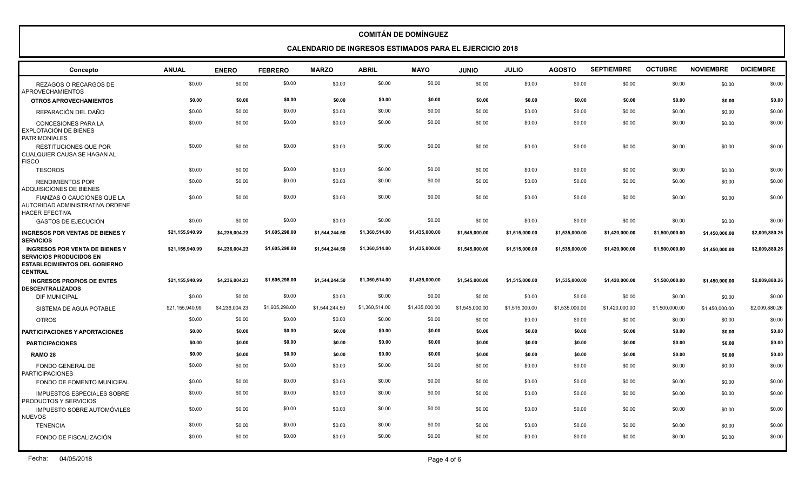**CALENDARIO DE INGRESOS ESTIMADOS PARA EL EJERCICIO 2018**

| Concepto                                                                                                                          | <b>ANUAL</b>    | <b>ENERO</b>   | <b>FEBRERO</b> | <b>MARZO</b>   | <b>ABRIL</b>   | <b>MAYO</b>    | <b>JUNIO</b>   | <b>JULIO</b>   | <b>AGOSTO</b>  | <b>SEPTIEMBRE</b> | <b>OCTUBRE</b> | <b>NOVIEMBRE</b> | <b>DICIEMBRE</b> |
|-----------------------------------------------------------------------------------------------------------------------------------|-----------------|----------------|----------------|----------------|----------------|----------------|----------------|----------------|----------------|-------------------|----------------|------------------|------------------|
| REZAGOS O RECARGOS DE<br><b>APROVECHAMIENTOS</b>                                                                                  | \$0.00          | \$0.00         | \$0.00         | \$0.00         | \$0.00         | \$0.00         | \$0.00         | \$0.00         | \$0.00         | \$0.00            | \$0.00         | \$0.00           | \$0.00           |
| <b>OTROS APROVECHAMIENTOS</b>                                                                                                     | \$0.00          | \$0.00         | \$0.00         | \$0.00         | \$0.00         | \$0.00         | \$0.00         | \$0.00         | \$0.00         | \$0.00            | \$0.00         | \$0.00           | \$0.00           |
| REPARACIÓN DEL DAÑO                                                                                                               | \$0.00          | \$0.00         | \$0.00         | \$0.00         | \$0.00         | \$0.00         | \$0.00         | \$0.00         | \$0.00         | \$0.00            | \$0.00         | \$0.00           | \$0.00           |
| <b>CONCESIONES PARA LA</b><br>EXPLOTACIÓN DE BIENES<br><b>PATRIMONIALES</b>                                                       | \$0.00          | \$0.00         | \$0.00         | \$0.00         | \$0.00         | \$0.00         | \$0.00         | \$0.00         | \$0.00         | \$0.00            | \$0.00         | \$0.00           | \$0.00           |
| <b>RESTITUCIONES QUE POR</b><br>l CUALQUIER CAUSA SE HAGAN AL<br><b>FISCO</b>                                                     | \$0.00          | \$0.00         | \$0.00         | \$0.00         | \$0.00         | \$0.00         | \$0.00         | \$0.00         | \$0.00         | \$0.00            | \$0.00         | \$0.00           | \$0.00           |
| <b>TESOROS</b>                                                                                                                    | \$0.00          | \$0.00         | \$0.00         | \$0.00         | \$0.00         | \$0.00         | \$0.00         | \$0.00         | \$0.00         | \$0.00            | \$0.00         | \$0.00           | \$0.00           |
| <b>RENDIMIENTOS POR</b><br>ADQUISICIONES DE BIENES                                                                                | \$0.00          | \$0.00         | \$0.00         | \$0.00         | \$0.00         | \$0.00         | \$0.00         | \$0.00         | \$0.00         | \$0.00            | \$0.00         | \$0.00           | \$0.00           |
| FIANZAS O CAUCIONES QUE LA<br>AUTORIDAD ADMINISTRATIVA ORDENE<br><b>HACER EFECTIVA</b>                                            | \$0.00          | \$0.00         | \$0.00         | \$0.00         | \$0.00         | \$0.00         | \$0.00         | \$0.00         | \$0.00         | \$0.00            | \$0.00         | \$0.00           | \$0.00           |
| <b>GASTOS DE EJECUCIÓN</b>                                                                                                        | \$0.00          | \$0.00         | \$0.00         | \$0.00         | \$0.00         | \$0.00         | \$0.00         | \$0.00         | \$0.00         | \$0.00            | \$0.00         | \$0.00           | \$0.00           |
| <b>INGRESOS POR VENTAS DE BIENES Y</b><br><b>SERVICIOS</b>                                                                        | \$21,155,940.99 | \$4,236,004.23 | \$1,605,298.00 | \$1,544,244.50 | \$1,360,514.00 | \$1,435,000.00 | \$1,545,000.00 | \$1,515,000.00 | \$1,535,000.00 | \$1,420,000.00    | \$1,500,000.00 | \$1,450,000.00   | \$2,009,880.26   |
| <b>INGRESOS POR VENTA DE BIENES Y</b><br><b>SERVICIOS PRODUCIDOS EN</b><br><b>ESTABLECIMIENTOS DEL GOBIERNO</b><br><b>CENTRAL</b> | \$21,155,940.99 | \$4,236,004.23 | \$1,605,298.00 | \$1,544,244.50 | \$1,360,514.00 | \$1,435,000.00 | \$1,545,000.00 | \$1,515,000.00 | \$1,535,000.00 | \$1,420,000.00    | \$1,500,000.00 | \$1,450,000.00   | \$2,009,880.26   |
| <b>INGRESOS PROPIOS DE ENTES</b><br><b>DESCENTRALIZADOS</b>                                                                       | \$21,155,940.99 | \$4,236,004.23 | \$1,605,298.00 | \$1,544,244.50 | \$1,360,514.00 | \$1,435,000.00 | \$1,545,000.00 | \$1,515,000.00 | \$1,535,000.00 | \$1,420,000.00    | \$1,500,000.00 | \$1,450,000.00   | \$2,009,880.26   |
| <b>DIF MUNICIPAL</b>                                                                                                              | \$0.00          | \$0.00         | \$0.00         | \$0.00         | \$0.00         | \$0.00         | \$0.00         | \$0.00         | \$0.00         | \$0.00            | \$0.00         | \$0.00           | \$0.00           |
| SISTEMA DE AGUA POTABLE                                                                                                           | \$21,155,940.99 | \$4,236,004.23 | \$1,605,298.00 | \$1,544,244.50 | \$1,360,514.00 | \$1,435,000.00 | \$1,545,000.00 | \$1,515,000.00 | \$1,535,000.00 | \$1,420,000.00    | \$1,500,000.00 | \$1,450,000.00   | \$2,009,880.26   |
| <b>OTROS</b>                                                                                                                      | \$0.00          | \$0.00         | \$0.00         | \$0.00         | \$0.00         | \$0.00         | \$0.00         | \$0.00         | \$0.00         | \$0.00            | \$0.00         | \$0.00           | \$0.00           |
| PARTICIPACIONES Y APORTACIONES                                                                                                    | \$0.00          | \$0.00         | \$0.00         | \$0.00         | \$0.00         | \$0.00         | \$0.00         | \$0.00         | \$0.00         | \$0.00            | \$0.00         | \$0.00           | \$0.00           |
| <b>PARTICIPACIONES</b>                                                                                                            | \$0.00          | \$0.00         | \$0.00         | \$0.00         | \$0.00         | \$0.00         | \$0.00         | \$0.00         | \$0.00         | \$0.00            | \$0.00         | \$0.00           | \$0.00           |
| <b>RAMO 28</b>                                                                                                                    | \$0.00          | \$0.00         | \$0.00         | \$0.00         | \$0.00         | \$0.00         | \$0.00         | \$0.00         | \$0.00         | \$0.00            | \$0.00         | \$0.00           | \$0.00           |
| <b>FONDO GENERAL DE</b><br><b>PARTICIPACIONES</b>                                                                                 | \$0.00          | \$0.00         | \$0.00         | \$0.00         | \$0.00         | \$0.00         | \$0.00         | \$0.00         | \$0.00         | \$0.00            | \$0.00         | \$0.00           | \$0.00           |
| <b>FONDO DE FOMENTO MUNICIPAL</b>                                                                                                 | \$0.00          | \$0.00         | \$0.00         | \$0.00         | \$0.00         | \$0.00         | \$0.00         | \$0.00         | \$0.00         | \$0.00            | \$0.00         | \$0.00           | \$0.00           |
| <b>IMPUESTOS ESPECIALES SOBRE</b><br><b>PRODUCTOS Y SERVICIOS</b>                                                                 | \$0.00          | \$0.00         | \$0.00         | \$0.00         | \$0.00         | \$0.00         | \$0.00         | \$0.00         | \$0.00         | \$0.00            | \$0.00         | \$0.00           | \$0.00           |
| <b>IMPUESTO SOBRE AUTOMÓVILES</b><br><b>NUEVOS</b>                                                                                | \$0.00          | \$0.00         | \$0.00         | \$0.00         | \$0.00         | \$0.00         | \$0.00         | \$0.00         | \$0.00         | \$0.00            | \$0.00         | \$0.00           | \$0.00           |
| <b>TENENCIA</b>                                                                                                                   | \$0.00          | \$0.00         | \$0.00         | \$0.00         | \$0.00         | \$0.00         | \$0.00         | \$0.00         | \$0.00         | \$0.00            | \$0.00         | \$0.00           | \$0.00           |
| FONDO DE FISCALIZACIÓN                                                                                                            | \$0.00          | \$0.00         | \$0.00         | \$0.00         | \$0.00         | \$0.00         | \$0.00         | \$0.00         | \$0.00         | \$0.00            | \$0.00         | \$0.00           | \$0.00           |
|                                                                                                                                   |                 |                |                |                |                |                |                |                |                |                   |                |                  |                  |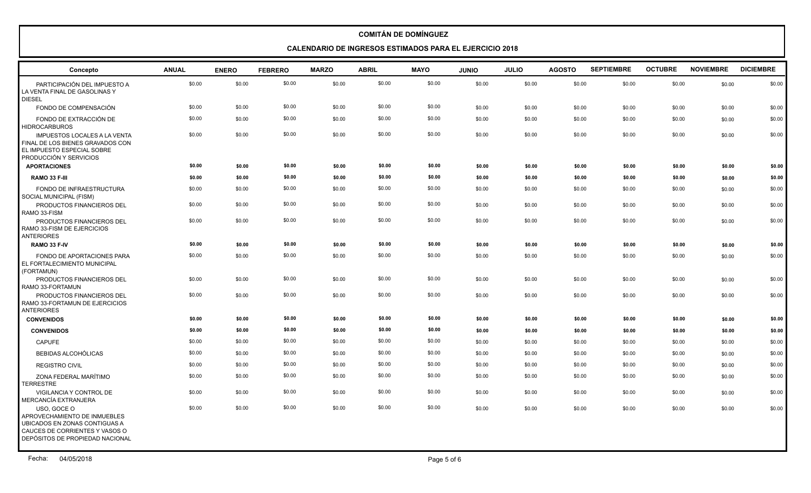**CALENDARIO DE INGRESOS ESTIMADOS PARA EL EJERCICIO 2018**

| Concepto                                                                                                                                          | <b>ANUAL</b> | <b>ENERO</b> | <b>FEBRERO</b> | <b>MARZO</b> | <b>ABRIL</b> | <b>MAYO</b> | <b>JUNIO</b> | <b>JULIO</b> | <b>AGOSTO</b> | <b>SEPTIEMBRE</b> | <b>OCTUBRE</b> | <b>NOVIEMBRE</b> | <b>DICIEMBRE</b> |
|---------------------------------------------------------------------------------------------------------------------------------------------------|--------------|--------------|----------------|--------------|--------------|-------------|--------------|--------------|---------------|-------------------|----------------|------------------|------------------|
| PARTICIPACIÓN DEL IMPUESTO A<br>LA VENTA FINAL DE GASOLINAS Y<br><b>DIESEL</b>                                                                    | \$0.00       | \$0.00       | \$0.00         | \$0.00       | \$0.00       | \$0.00      | \$0.00       | \$0.00       | \$0.00        | \$0.00            | \$0.00         | \$0.00           | \$0.00           |
| FONDO DE COMPENSACIÓN                                                                                                                             | \$0.00       | \$0.00       | \$0.00         | \$0.00       | \$0.00       | \$0.00      | \$0.00       | \$0.00       | \$0.00        | \$0.00            | \$0.00         | \$0.00           | \$0.00           |
| FONDO DE EXTRACCIÓN DE<br><b>HIDROCARBUROS</b>                                                                                                    | \$0.00       | \$0.00       | \$0.00         | \$0.00       | \$0.00       | \$0.00      | \$0.00       | \$0.00       | \$0.00        | \$0.00            | \$0.00         | \$0.00           | \$0.00           |
| <b>IMPUESTOS LOCALES A LA VENTA</b><br>FINAL DE LOS BIENES GRAVADOS CON<br>EL IMPUESTO ESPECIAL SOBRE<br>PRODUCCIÓN Y SERVICIOS                   | \$0.00       | \$0.00       | \$0.00         | \$0.00       | \$0.00       | \$0.00      | \$0.00       | \$0.00       | \$0.00        | \$0.00            | \$0.00         | \$0.00           | \$0.00           |
| <b>APORTACIONES</b>                                                                                                                               | \$0.00       | \$0.00       | \$0.00         | \$0.00       | \$0.00       | \$0.00      | \$0.00       | \$0.00       | \$0.00        | \$0.00            | \$0.00         | \$0.00           | \$0.00           |
| RAMO 33 F-III                                                                                                                                     | \$0.00       | \$0.00       | \$0.00         | \$0.00       | \$0.00       | \$0.00      | \$0.00       | \$0.00       | \$0.00        | \$0.00            | \$0.00         | \$0.00           | \$0.00           |
| FONDO DE INFRAESTRUCTURA<br>SOCIAL MUNICIPAL (FISM)                                                                                               | \$0.00       | \$0.00       | \$0.00         | \$0.00       | \$0.00       | \$0.00      | \$0.00       | \$0.00       | \$0.00        | \$0.00            | \$0.00         | \$0.00           | \$0.00           |
| PRODUCTOS FINANCIEROS DEL<br>RAMO 33-FISM                                                                                                         | \$0.00       | \$0.00       | \$0.00         | \$0.00       | \$0.00       | \$0.00      | \$0.00       | \$0.00       | \$0.00        | \$0.00            | \$0.00         | \$0.00           | \$0.00           |
| PRODUCTOS FINANCIEROS DEL<br>RAMO 33-FISM DE EJERCICIOS<br><b>ANTERIORES</b>                                                                      | \$0.00       | \$0.00       | \$0.00         | \$0.00       | \$0.00       | \$0.00      | \$0.00       | \$0.00       | \$0.00        | \$0.00            | \$0.00         | \$0.00           | \$0.00           |
| RAMO 33 F-IV                                                                                                                                      | \$0.00       | \$0.00       | \$0.00         | \$0.00       | \$0.00       | \$0.00      | \$0.00       | \$0.00       | \$0.00        | \$0.00            | \$0.00         | \$0.00           | \$0.00           |
| FONDO DE APORTACIONES PARA<br><b>EL FORTALECIMIENTO MUNICIPAL</b><br>(FORTAMUN)                                                                   | \$0.00       | \$0.00       | \$0.00         | \$0.00       | \$0.00       | \$0.00      | \$0.00       | \$0.00       | \$0.00        | \$0.00            | \$0.00         | \$0.00           | \$0.00           |
| PRODUCTOS FINANCIEROS DEL<br>RAMO 33-FORTAMUN                                                                                                     | \$0.00       | \$0.00       | \$0.00         | \$0.00       | \$0.00       | \$0.00      | \$0.00       | \$0.00       | \$0.00        | \$0.00            | \$0.00         | \$0.00           | \$0.00           |
| PRODUCTOS FINANCIEROS DEL<br>RAMO 33-FORTAMUN DE EJERCICIOS<br><b>ANTERIORES</b>                                                                  | \$0.00       | \$0.00       | \$0.00         | \$0.00       | \$0.00       | \$0.00      | \$0.00       | \$0.00       | \$0.00        | \$0.00            | \$0.00         | \$0.00           | \$0.00           |
| <b>CONVENIDOS</b>                                                                                                                                 | \$0.00       | \$0.00       | \$0.00         | \$0.00       | \$0.00       | \$0.00      | \$0.00       | \$0.00       | \$0.00        | \$0.00            | \$0.00         | \$0.00           | \$0.00           |
| <b>CONVENIDOS</b>                                                                                                                                 | \$0.00       | \$0.00       | \$0.00         | \$0.00       | \$0.00       | \$0.00      | \$0.00       | \$0.00       | \$0.00        | \$0.00            | \$0.00         | \$0.00           | \$0.00           |
| <b>CAPUFE</b>                                                                                                                                     | \$0.00       | \$0.00       | \$0.00         | \$0.00       | \$0.00       | \$0.00      | \$0.00       | \$0.00       | \$0.00        | \$0.00            | \$0.00         | \$0.00           | \$0.00           |
| <b>BEBIDAS ALCOHÓLICAS</b>                                                                                                                        | \$0.00       | \$0.00       | \$0.00         | \$0.00       | \$0.00       | \$0.00      | \$0.00       | \$0.00       | \$0.00        | \$0.00            | \$0.00         | \$0.00           | \$0.00           |
| <b>REGISTRO CIVIL</b>                                                                                                                             | \$0.00       | \$0.00       | \$0.00         | \$0.00       | \$0.00       | \$0.00      | \$0.00       | \$0.00       | \$0.00        | \$0.00            | \$0.00         | \$0.00           | \$0.00           |
| ZONA FEDERAL MARÍTIMO<br><b>TERRESTRE</b>                                                                                                         | \$0.00       | \$0.00       | \$0.00         | \$0.00       | \$0.00       | \$0.00      | \$0.00       | \$0.00       | \$0.00        | \$0.00            | \$0.00         | \$0.00           | \$0.00           |
| VIGILANCIA Y CONTROL DE<br>MERCANCÍA EXTRANJERA                                                                                                   | \$0.00       | \$0.00       | \$0.00         | \$0.00       | \$0.00       | \$0.00      | \$0.00       | \$0.00       | \$0.00        | \$0.00            | \$0.00         | \$0.00           | \$0.00           |
| USO, GOCE O<br>APROVECHAMIENTO DE INMUEBLES<br>UBICADOS EN ZONAS CONTIGUAS A<br>CAUCES DE CORRIENTES Y VASOS O<br>DEPÓSITOS DE PROPIEDAD NACIONAL | \$0.00       | \$0.00       | \$0.00         | \$0.00       | \$0.00       | \$0.00      | \$0.00       | \$0.00       | \$0.00        | \$0.00            | \$0.00         | \$0.00           | \$0.00           |